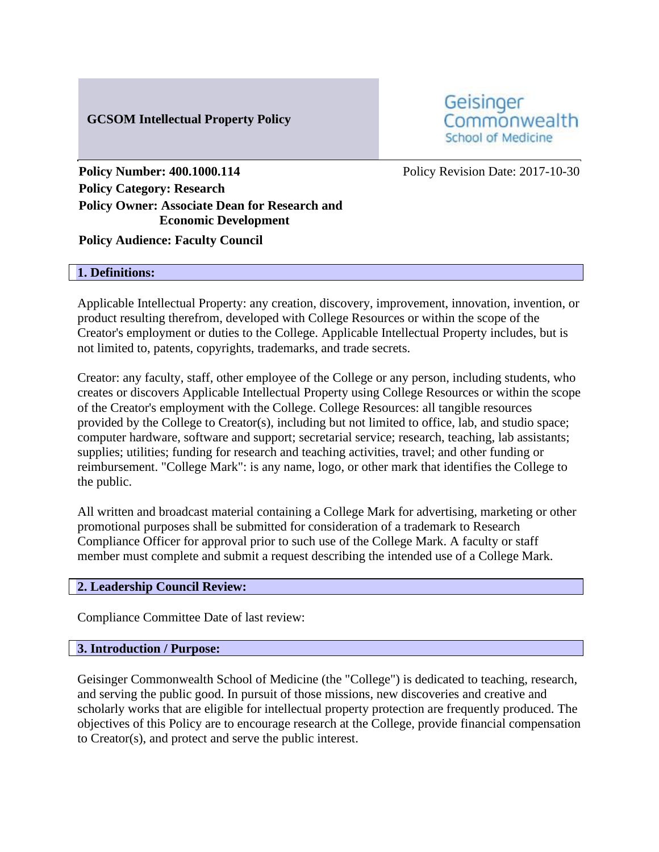# **GCSOM Intellectual Property Policy**

Geisinger Commonwealth **School of Medicine** 

**Policy Number: 400.1000.114** Policy Revision Date: 2017-10-30 **Policy Category: Research Policy Owner: Associate Dean for Research and Economic Development**

**Policy Audience: Faculty Council**

#### **1. Definitions:**

Applicable Intellectual Property: any creation, discovery, improvement, innovation, invention, or product resulting therefrom, developed with College Resources or within the scope of the Creator's employment or duties to the College. Applicable Intellectual Property includes, but is not limited to, patents, copyrights, trademarks, and trade secrets.

Creator: any faculty, staff, other employee of the College or any person, including students, who creates or discovers Applicable Intellectual Property using College Resources or within the scope of the Creator's employment with the College. College Resources: all tangible resources provided by the College to Creator(s), including but not limited to office, lab, and studio space; computer hardware, software and support; secretarial service; research, teaching, lab assistants; supplies; utilities; funding for research and teaching activities, travel; and other funding or reimbursement. "College Mark": is any name, logo, or other mark that identifies the College to the public.

All written and broadcast material containing a College Mark for advertising, marketing or other promotional purposes shall be submitted for consideration of a trademark to Research Compliance Officer for approval prior to such use of the College Mark. A faculty or staff member must complete and submit a request describing the intended use of a College Mark.

### **2. Leadership Council Review:**

Compliance Committee Date of last review:

## **3. Introduction / Purpose:**

Geisinger Commonwealth School of Medicine (the "College") is dedicated to teaching, research, and serving the public good. In pursuit of those missions, new discoveries and creative and scholarly works that are eligible for intellectual property protection are frequently produced. The objectives of this Policy are to encourage research at the College, provide financial compensation to Creator(s), and protect and serve the public interest.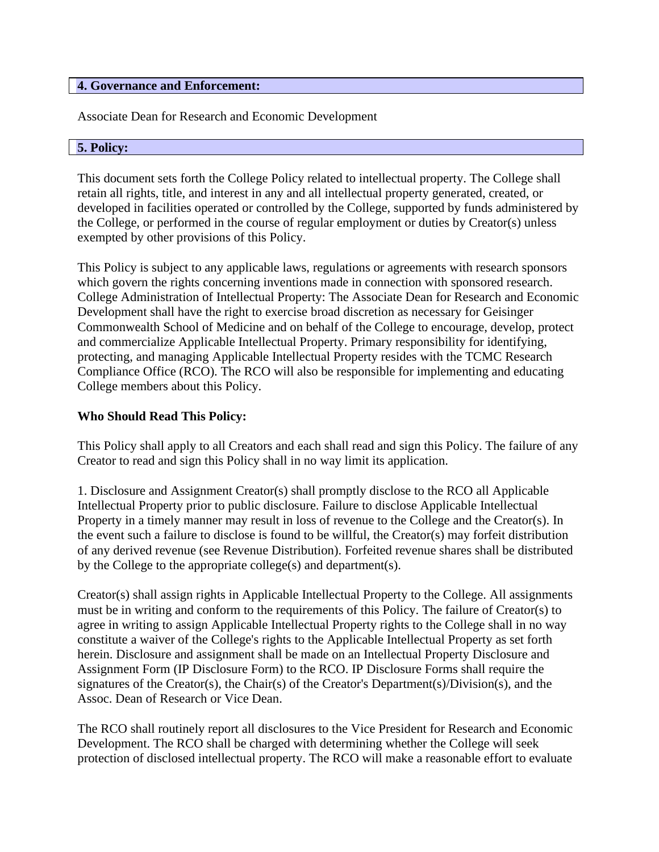## **4. Governance and Enforcement:**

Associate Dean for Research and Economic Development

### **5. Policy:**

This document sets forth the College Policy related to intellectual property. The College shall retain all rights, title, and interest in any and all intellectual property generated, created, or developed in facilities operated or controlled by the College, supported by funds administered by the College, or performed in the course of regular employment or duties by Creator(s) unless exempted by other provisions of this Policy.

This Policy is subject to any applicable laws, regulations or agreements with research sponsors which govern the rights concerning inventions made in connection with sponsored research. College Administration of Intellectual Property: The Associate Dean for Research and Economic Development shall have the right to exercise broad discretion as necessary for Geisinger Commonwealth School of Medicine and on behalf of the College to encourage, develop, protect and commercialize Applicable Intellectual Property. Primary responsibility for identifying, protecting, and managing Applicable Intellectual Property resides with the TCMC Research Compliance Office (RCO). The RCO will also be responsible for implementing and educating College members about this Policy.

### **Who Should Read This Policy:**

This Policy shall apply to all Creators and each shall read and sign this Policy. The failure of any Creator to read and sign this Policy shall in no way limit its application.

1. Disclosure and Assignment Creator(s) shall promptly disclose to the RCO all Applicable Intellectual Property prior to public disclosure. Failure to disclose Applicable Intellectual Property in a timely manner may result in loss of revenue to the College and the Creator(s). In the event such a failure to disclose is found to be willful, the Creator(s) may forfeit distribution of any derived revenue (see Revenue Distribution). Forfeited revenue shares shall be distributed by the College to the appropriate college(s) and department(s).

Creator(s) shall assign rights in Applicable Intellectual Property to the College. All assignments must be in writing and conform to the requirements of this Policy. The failure of Creator(s) to agree in writing to assign Applicable Intellectual Property rights to the College shall in no way constitute a waiver of the College's rights to the Applicable Intellectual Property as set forth herein. Disclosure and assignment shall be made on an Intellectual Property Disclosure and Assignment Form (IP Disclosure Form) to the RCO. IP Disclosure Forms shall require the signatures of the Creator(s), the Chair(s) of the Creator's Department(s)/Division(s), and the Assoc. Dean of Research or Vice Dean.

The RCO shall routinely report all disclosures to the Vice President for Research and Economic Development. The RCO shall be charged with determining whether the College will seek protection of disclosed intellectual property. The RCO will make a reasonable effort to evaluate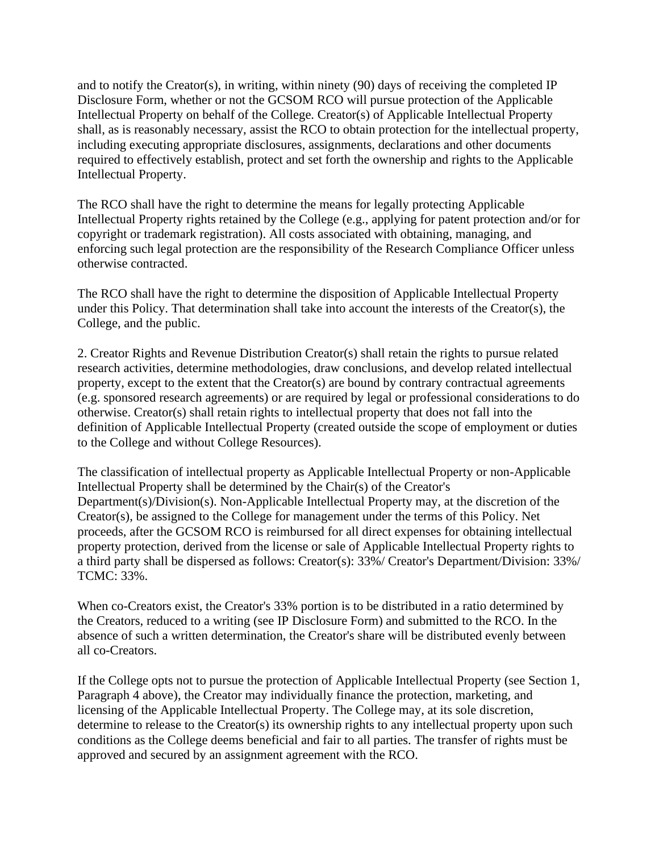and to notify the Creator(s), in writing, within ninety (90) days of receiving the completed IP Disclosure Form, whether or not the GCSOM RCO will pursue protection of the Applicable Intellectual Property on behalf of the College. Creator(s) of Applicable Intellectual Property shall, as is reasonably necessary, assist the RCO to obtain protection for the intellectual property, including executing appropriate disclosures, assignments, declarations and other documents required to effectively establish, protect and set forth the ownership and rights to the Applicable Intellectual Property.

The RCO shall have the right to determine the means for legally protecting Applicable Intellectual Property rights retained by the College (e.g., applying for patent protection and/or for copyright or trademark registration). All costs associated with obtaining, managing, and enforcing such legal protection are the responsibility of the Research Compliance Officer unless otherwise contracted.

The RCO shall have the right to determine the disposition of Applicable Intellectual Property under this Policy. That determination shall take into account the interests of the Creator(s), the College, and the public.

2. Creator Rights and Revenue Distribution Creator(s) shall retain the rights to pursue related research activities, determine methodologies, draw conclusions, and develop related intellectual property, except to the extent that the Creator(s) are bound by contrary contractual agreements (e.g. sponsored research agreements) or are required by legal or professional considerations to do otherwise. Creator(s) shall retain rights to intellectual property that does not fall into the definition of Applicable Intellectual Property (created outside the scope of employment or duties to the College and without College Resources).

The classification of intellectual property as Applicable Intellectual Property or non-Applicable Intellectual Property shall be determined by the Chair(s) of the Creator's Department(s)/Division(s). Non-Applicable Intellectual Property may, at the discretion of the Creator(s), be assigned to the College for management under the terms of this Policy. Net proceeds, after the GCSOM RCO is reimbursed for all direct expenses for obtaining intellectual property protection, derived from the license or sale of Applicable Intellectual Property rights to a third party shall be dispersed as follows: Creator(s): 33%/ Creator's Department/Division: 33%/ TCMC: 33%.

When co-Creators exist, the Creator's 33% portion is to be distributed in a ratio determined by the Creators, reduced to a writing (see IP Disclosure Form) and submitted to the RCO. In the absence of such a written determination, the Creator's share will be distributed evenly between all co-Creators.

If the College opts not to pursue the protection of Applicable Intellectual Property (see Section 1, Paragraph 4 above), the Creator may individually finance the protection, marketing, and licensing of the Applicable Intellectual Property. The College may, at its sole discretion, determine to release to the Creator(s) its ownership rights to any intellectual property upon such conditions as the College deems beneficial and fair to all parties. The transfer of rights must be approved and secured by an assignment agreement with the RCO.